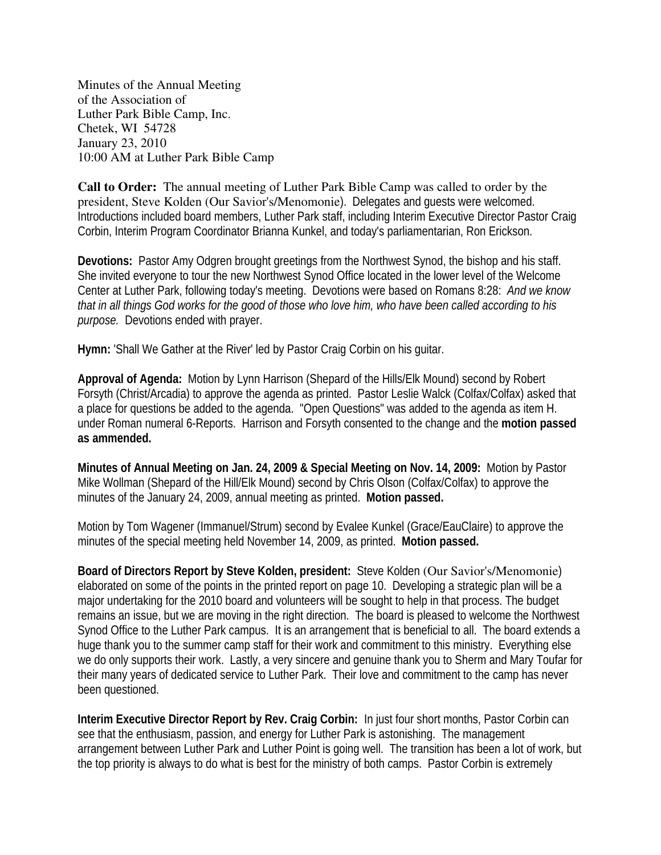Minutes of the Annual Meeting of the Association of Luther Park Bible Camp, Inc. Chetek, WI 54728 January 23, 2010 10:00 AM at Luther Park Bible Camp

**Call to Order:** The annual meeting of Luther Park Bible Camp was called to order by the president, Steve Kolden (Our Savior's/Menomonie). Delegates and guests were welcomed. Introductions included board members, Luther Park staff, including Interim Executive Director Pastor Craig Corbin, Interim Program Coordinator Brianna Kunkel, and today's parliamentarian, Ron Erickson.

**Devotions:** Pastor Amy Odgren brought greetings from the Northwest Synod, the bishop and his staff. She invited everyone to tour the new Northwest Synod Office located in the lower level of the Welcome Center at Luther Park, following today's meeting. Devotions were based on Romans 8:28: *And we know that in all things God works for the good of those who love him, who have been called according to his purpose.* Devotions ended with prayer.

**Hymn:** 'Shall We Gather at the River' led by Pastor Craig Corbin on his guitar.

**Approval of Agenda:** Motion by Lynn Harrison (Shepard of the Hills/Elk Mound) second by Robert Forsyth (Christ/Arcadia) to approve the agenda as printed. Pastor Leslie Walck (Colfax/Colfax) asked that a place for questions be added to the agenda. "Open Questions" was added to the agenda as item H. under Roman numeral 6-Reports. Harrison and Forsyth consented to the change and the **motion passed as ammended.** 

**Minutes of Annual Meeting on Jan. 24, 2009 & Special Meeting on Nov. 14, 2009:** Motion by Pastor Mike Wollman (Shepard of the Hill/Elk Mound) second by Chris Olson (Colfax/Colfax) to approve the minutes of the January 24, 2009, annual meeting as printed. **Motion passed.** 

Motion by Tom Wagener (Immanuel/Strum) second by Evalee Kunkel (Grace/EauClaire) to approve the minutes of the special meeting held November 14, 2009, as printed. **Motion passed.** 

**Board of Directors Report by Steve Kolden, president:** Steve Kolden (Our Savior's/Menomonie) elaborated on some of the points in the printed report on page 10. Developing a strategic plan will be a major undertaking for the 2010 board and volunteers will be sought to help in that process. The budget remains an issue, but we are moving in the right direction. The board is pleased to welcome the Northwest Synod Office to the Luther Park campus. It is an arrangement that is beneficial to all. The board extends a huge thank you to the summer camp staff for their work and commitment to this ministry. Everything else we do only supports their work. Lastly, a very sincere and genuine thank you to Sherm and Mary Toufar for their many years of dedicated service to Luther Park. Their love and commitment to the camp has never been questioned.

**Interim Executive Director Report by Rev. Craig Corbin:** In just four short months, Pastor Corbin can see that the enthusiasm, passion, and energy for Luther Park is astonishing. The management arrangement between Luther Park and Luther Point is going well. The transition has been a lot of work, but the top priority is always to do what is best for the ministry of both camps. Pastor Corbin is extremely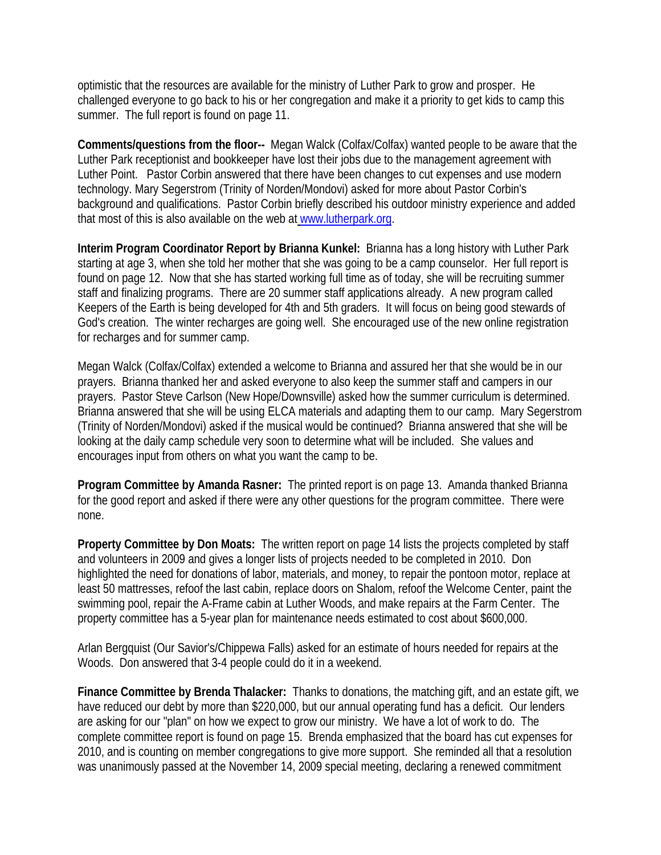optimistic that the resources are available for the ministry of Luther Park to grow and prosper. He challenged everyone to go back to his or her congregation and make it a priority to get kids to camp this summer. The full report is found on page 11.

**Comments/questions from the floor--** Megan Walck (Colfax/Colfax) wanted people to be aware that the Luther Park receptionist and bookkeeper have lost their jobs due to the management agreement with Luther Point. Pastor Corbin answered that there have been changes to cut expenses and use modern technology. Mary Segerstrom (Trinity of Norden/Mondovi) asked for more about Pastor Corbin's background and qualifications. Pastor Corbin briefly described his outdoor ministry experience and added that most of this is also available on the web at [www.lutherpark.org.](http://www.lutherpark.org/)

**Interim Program Coordinator Report by Brianna Kunkel:** Brianna has a long history with Luther Park starting at age 3, when she told her mother that she was going to be a camp counselor. Her full report is found on page 12. Now that she has started working full time as of today, she will be recruiting summer staff and finalizing programs. There are 20 summer staff applications already. A new program called Keepers of the Earth is being developed for 4th and 5th graders. It will focus on being good stewards of God's creation. The winter recharges are going well. She encouraged use of the new online registration for recharges and for summer camp.

Megan Walck (Colfax/Colfax) extended a welcome to Brianna and assured her that she would be in our prayers. Brianna thanked her and asked everyone to also keep the summer staff and campers in our prayers. Pastor Steve Carlson (New Hope/Downsville) asked how the summer curriculum is determined. Brianna answered that she will be using ELCA materials and adapting them to our camp. Mary Segerstrom (Trinity of Norden/Mondovi) asked if the musical would be continued? Brianna answered that she will be looking at the daily camp schedule very soon to determine what will be included. She values and encourages input from others on what you want the camp to be.

**Program Committee by Amanda Rasner:** The printed report is on page 13. Amanda thanked Brianna for the good report and asked if there were any other questions for the program committee. There were none.

**Property Committee by Don Moats:** The written report on page 14 lists the projects completed by staff and volunteers in 2009 and gives a longer lists of projects needed to be completed in 2010. Don highlighted the need for donations of labor, materials, and money, to repair the pontoon motor, replace at least 50 mattresses, refoof the last cabin, replace doors on Shalom, refoof the Welcome Center, paint the swimming pool, repair the A-Frame cabin at Luther Woods, and make repairs at the Farm Center. The property committee has a 5-year plan for maintenance needs estimated to cost about \$600,000.

Arlan Bergquist (Our Savior's/Chippewa Falls) asked for an estimate of hours needed for repairs at the Woods. Don answered that 3-4 people could do it in a weekend.

**Finance Committee by Brenda Thalacker:** Thanks to donations, the matching gift, and an estate gift, we have reduced our debt by more than \$220,000, but our annual operating fund has a deficit. Our lenders are asking for our "plan" on how we expect to grow our ministry. We have a lot of work to do. The complete committee report is found on page 15. Brenda emphasized that the board has cut expenses for 2010, and is counting on member congregations to give more support. She reminded all that a resolution was unanimously passed at the November 14, 2009 special meeting, declaring a renewed commitment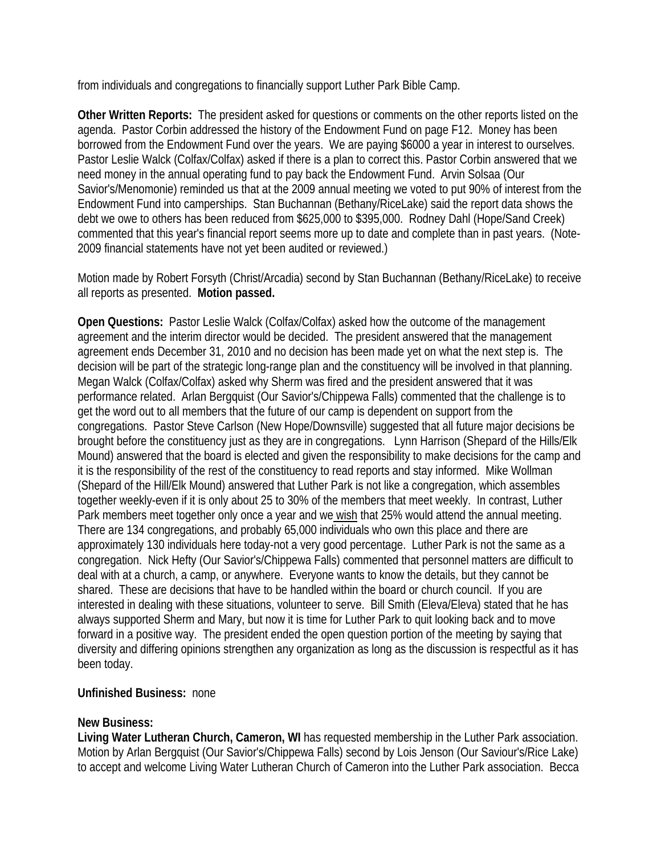from individuals and congregations to financially support Luther Park Bible Camp.

**Other Written Reports:** The president asked for questions or comments on the other reports listed on the agenda. Pastor Corbin addressed the history of the Endowment Fund on page F12. Money has been borrowed from the Endowment Fund over the years. We are paying \$6000 a year in interest to ourselves. Pastor Leslie Walck (Colfax/Colfax) asked if there is a plan to correct this. Pastor Corbin answered that we need money in the annual operating fund to pay back the Endowment Fund. Arvin Solsaa (Our Savior's/Menomonie) reminded us that at the 2009 annual meeting we voted to put 90% of interest from the Endowment Fund into camperships. Stan Buchannan (Bethany/RiceLake) said the report data shows the debt we owe to others has been reduced from \$625,000 to \$395,000. Rodney Dahl (Hope/Sand Creek) commented that this year's financial report seems more up to date and complete than in past years. (Note-2009 financial statements have not yet been audited or reviewed.)

Motion made by Robert Forsyth (Christ/Arcadia) second by Stan Buchannan (Bethany/RiceLake) to receive all reports as presented. **Motion passed.**

**Open Questions:** Pastor Leslie Walck (Colfax/Colfax) asked how the outcome of the management agreement and the interim director would be decided. The president answered that the management agreement ends December 31, 2010 and no decision has been made yet on what the next step is. The decision will be part of the strategic long-range plan and the constituency will be involved in that planning. Megan Walck (Colfax/Colfax) asked why Sherm was fired and the president answered that it was performance related. Arlan Bergquist (Our Savior's/Chippewa Falls) commented that the challenge is to get the word out to all members that the future of our camp is dependent on support from the congregations. Pastor Steve Carlson (New Hope/Downsville) suggested that all future major decisions be brought before the constituency just as they are in congregations. Lynn Harrison (Shepard of the Hills/Elk Mound) answered that the board is elected and given the responsibility to make decisions for the camp and it is the responsibility of the rest of the constituency to read reports and stay informed. Mike Wollman (Shepard of the Hill/Elk Mound) answered that Luther Park is not like a congregation, which assembles together weekly-even if it is only about 25 to 30% of the members that meet weekly. In contrast, Luther Park members meet together only once a year and we wish that 25% would attend the annual meeting. There are 134 congregations, and probably 65,000 individuals who own this place and there are approximately 130 individuals here today-not a very good percentage. Luther Park is not the same as a congregation. Nick Hefty (Our Savior's/Chippewa Falls) commented that personnel matters are difficult to deal with at a church, a camp, or anywhere. Everyone wants to know the details, but they cannot be shared. These are decisions that have to be handled within the board or church council. If you are interested in dealing with these situations, volunteer to serve. Bill Smith (Eleva/Eleva) stated that he has always supported Sherm and Mary, but now it is time for Luther Park to quit looking back and to move forward in a positive way. The president ended the open question portion of the meeting by saying that diversity and differing opinions strengthen any organization as long as the discussion is respectful as it has been today.

## **Unfinished Business:** none

## **New Business:**

**Living Water Lutheran Church, Cameron, WI** has requested membership in the Luther Park association. Motion by Arlan Bergquist (Our Savior's/Chippewa Falls) second by Lois Jenson (Our Saviour's/Rice Lake) to accept and welcome Living Water Lutheran Church of Cameron into the Luther Park association. Becca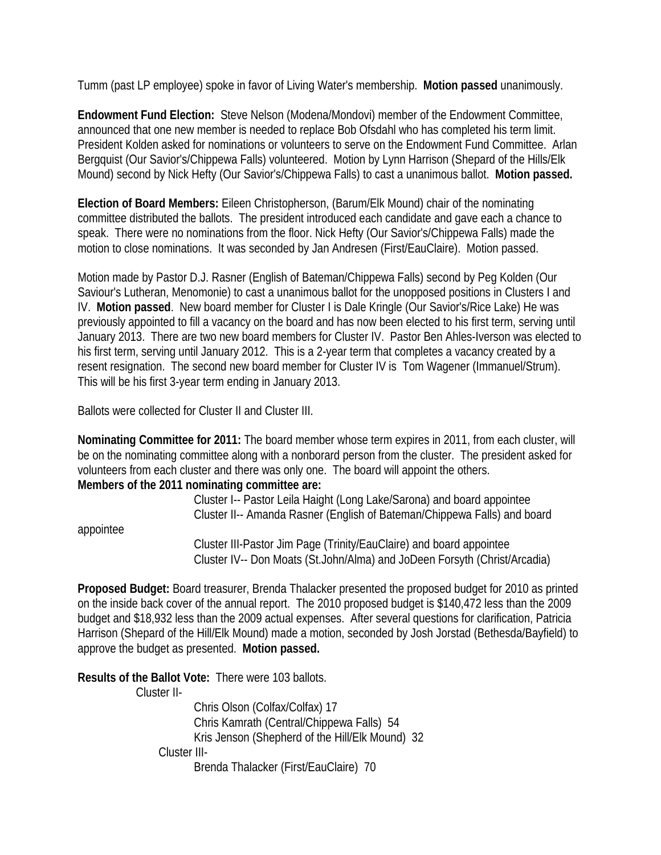Tumm (past LP employee) spoke in favor of Living Water's membership. **Motion passed** unanimously.

**Endowment Fund Election:** Steve Nelson (Modena/Mondovi) member of the Endowment Committee, announced that one new member is needed to replace Bob Ofsdahl who has completed his term limit. President Kolden asked for nominations or volunteers to serve on the Endowment Fund Committee. Arlan Bergquist (Our Savior's/Chippewa Falls) volunteered. Motion by Lynn Harrison (Shepard of the Hills/Elk Mound) second by Nick Hefty (Our Savior's/Chippewa Falls) to cast a unanimous ballot. **Motion passed.** 

**Election of Board Members:** Eileen Christopherson, (Barum/Elk Mound) chair of the nominating committee distributed the ballots. The president introduced each candidate and gave each a chance to speak. There were no nominations from the floor. Nick Hefty (Our Savior's/Chippewa Falls) made the motion to close nominations. It was seconded by Jan Andresen (First/EauClaire). Motion passed.

Motion made by Pastor D.J. Rasner (English of Bateman/Chippewa Falls) second by Peg Kolden (Our Saviour's Lutheran, Menomonie) to cast a unanimous ballot for the unopposed positions in Clusters I and IV. **Motion passed**. New board member for Cluster I is Dale Kringle (Our Savior's/Rice Lake) He was previously appointed to fill a vacancy on the board and has now been elected to his first term, serving until January 2013. There are two new board members for Cluster IV. Pastor Ben Ahles-Iverson was elected to his first term, serving until January 2012. This is a 2-year term that completes a vacancy created by a resent resignation. The second new board member for Cluster IV is Tom Wagener (Immanuel/Strum). This will be his first 3-year term ending in January 2013.

Ballots were collected for Cluster II and Cluster III.

**Nominating Committee for 2011:** The board member whose term expires in 2011, from each cluster, will be on the nominating committee along with a nonborard person from the cluster. The president asked for volunteers from each cluster and there was only one. The board will appoint the others. **Members of the 2011 nominating committee are:** 

 Cluster I-- Pastor Leila Haight (Long Lake/Sarona) and board appointee Cluster II-- Amanda Rasner (English of Bateman/Chippewa Falls) and board

appointee

 Cluster III-Pastor Jim Page (Trinity/EauClaire) and board appointee Cluster IV-- Don Moats (St.John/Alma) and JoDeen Forsyth (Christ/Arcadia)

**Proposed Budget:** Board treasurer, Brenda Thalacker presented the proposed budget for 2010 as printed on the inside back cover of the annual report. The 2010 proposed budget is \$140,472 less than the 2009 budget and \$18,932 less than the 2009 actual expenses. After several questions for clarification, Patricia Harrison (Shepard of the Hill/Elk Mound) made a motion, seconded by Josh Jorstad (Bethesda/Bayfield) to approve the budget as presented. **Motion passed.** 

**Results of the Ballot Vote:** There were 103 ballots.

Cluster II-

 Chris Olson (Colfax/Colfax) 17 Chris Kamrath (Central/Chippewa Falls) 54 Kris Jenson (Shepherd of the Hill/Elk Mound) 32 Cluster III- Brenda Thalacker (First/EauClaire) 70